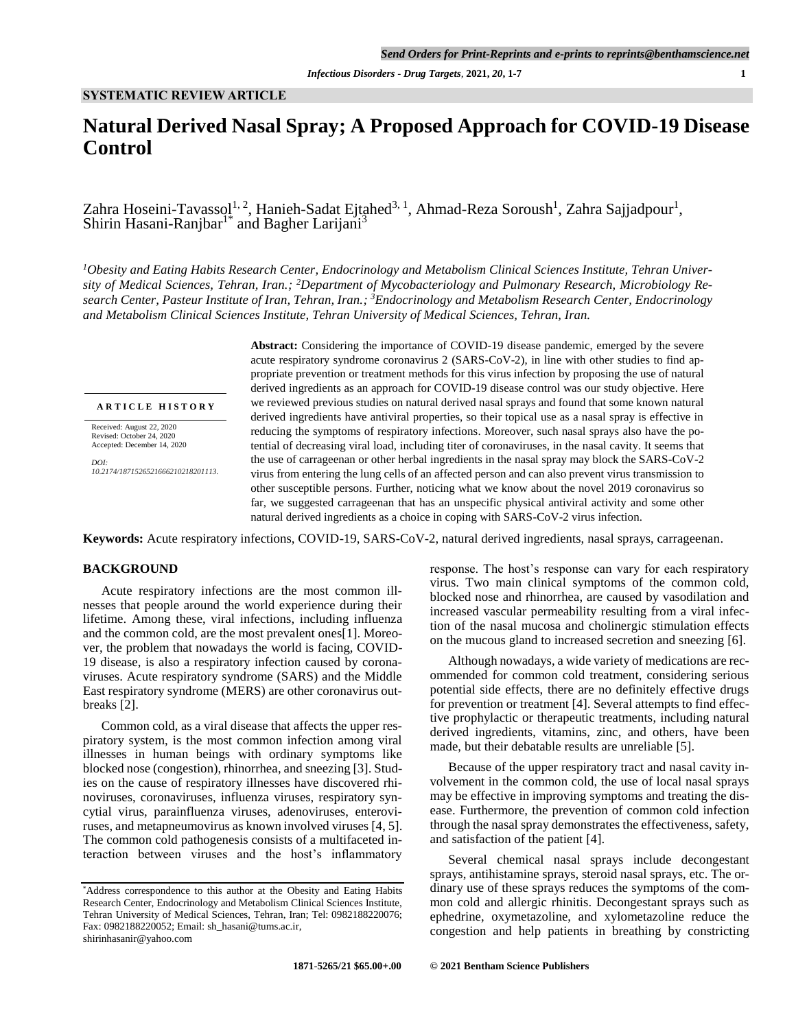# **Natural Derived Nasal Spray; A Proposed Approach for COVID-19 Disease Control**

Zahra Hoseini-Tavass $q^{1,2}$ , Hanieh-Sadat Ejtahed $^{3,1}$ , Ahmad-Reza Soroush $^1$ , Zahra Sajjadpour $^1$ , Shirin Hasani-Ranjbar<sup>1\*</sup> and Bagher Larijani<sup>3</sup>

*1Obesity and Eating Habits Research Center, Endocrinology and Metabolism Clinical Sciences Institute, Tehran University of Medical Sciences, Tehran, Iran.; 2Department of Mycobacteriology and Pulmonary Research, Microbiology Research Center, Pasteur Institute of Iran, Tehran, Iran.; <sup>3</sup>Endocrinology and Metabolism Research Center, Endocrinology and Metabolism Clinical Sciences Institute, Tehran University of Medical Sciences, Tehran, Iran.*

**A R T I C L E H I S T O R Y**

Received: August 22, 2020 Revised: October 24, 2020 Accepted: December 14, 2020

*DOI: 10.2174/1871526521666210218201113.* **Abstract:** Considering the importance of COVID-19 disease pandemic, emerged by the severe acute respiratory syndrome coronavirus 2 (SARS-CoV-2), in line with other studies to find appropriate prevention or treatment methods for this virus infection by proposing the use of natural derived ingredients as an approach for COVID-19 disease control was our study objective. Here we reviewed previous studies on natural derived nasal sprays and found that some known natural derived ingredients have antiviral properties, so their topical use as a nasal spray is effective in reducing the symptoms of respiratory infections. Moreover, such nasal sprays also have the potential of decreasing viral load, including titer of coronaviruses, in the nasal cavity. It seems that the use of carrageenan or other herbal ingredients in the nasal spray may block the SARS-CoV-2 virus from entering the lung cells of an affected person and can also prevent virus transmission to other susceptible persons. Further, noticing what we know about the novel 2019 coronavirus so far, we suggested carrageenan that has an unspecific physical antiviral activity and some other natural derived ingredients as a choice in coping with SARS-CoV-2 virus infection.

**Keywords:** Acute respiratory infections, COVID-19, SARS-CoV-2, natural derived ingredients, nasal sprays, carrageenan.

### **BACKGROUND**

Acute respiratory infections are the most common illnesses that people around the world experience during their lifetime. Among these, viral infections, including influenza and the common cold, are the most prevalent ones[1]. Moreover, the problem that nowadays the world is facing, COVID-19 disease, is also a respiratory infection caused by coronaviruses. Acute respiratory syndrome (SARS) and the Middle East respiratory syndrome (MERS) are other coronavirus outbreaks [2].

Common cold, as a viral disease that affects the upper respiratory system, is the most common infection among viral illnesses in human beings with ordinary symptoms like blocked nose (congestion), rhinorrhea, and sneezing [3]. Studies on the cause of respiratory illnesses have discovered rhinoviruses, coronaviruses, influenza viruses, respiratory syncytial virus, parainfluenza viruses, adenoviruses, enteroviruses, and metapneumovirus as known involved viruses [4, 5]. The common cold pathogenesis consists of a multifaceted interaction between viruses and the host's inflammatory response. The host's response can vary for each respiratory virus. Two main clinical symptoms of the common cold, blocked nose and rhinorrhea, are caused by vasodilation and increased vascular permeability resulting from a viral infection of the nasal mucosa and cholinergic stimulation effects on the mucous gland to increased secretion and sneezing [6].

Although nowadays, a wide variety of medications are recommended for common cold treatment, considering serious potential side effects, there are no definitely effective drugs for prevention or treatment [4]. Several attempts to find effective prophylactic or therapeutic treatments, including natural derived ingredients, vitamins, zinc, and others, have been made, but their debatable results are unreliable [5].

Because of the upper respiratory tract and nasal cavity involvement in the common cold, the use of local nasal sprays may be effective in improving symptoms and treating the disease. Furthermore, the prevention of common cold infection through the nasal spray demonstrates the effectiveness, safety, and satisfaction of the patient [4].

Several chemical nasal sprays include decongestant sprays, antihistamine sprays, steroid nasal sprays, etc. The ordinary use of these sprays reduces the symptoms of the common cold and allergic rhinitis. Decongestant sprays such as ephedrine, oxymetazoline, and xylometazoline reduce the congestion and help patients in breathing by constricting

<sup>\*</sup>Address correspondence to this author at the Obesity and Eating Habits Research Center, Endocrinology and Metabolism Clinical Sciences Institute, Tehran University of Medical Sciences, Tehran, Iran; Tel: 0982188220076; Fax: 0982188220052; Email[: sh\\_hasani@tums.ac.ir,](mailto:sh_hasani@tums.ac.ir) shirinhasanir@yahoo.com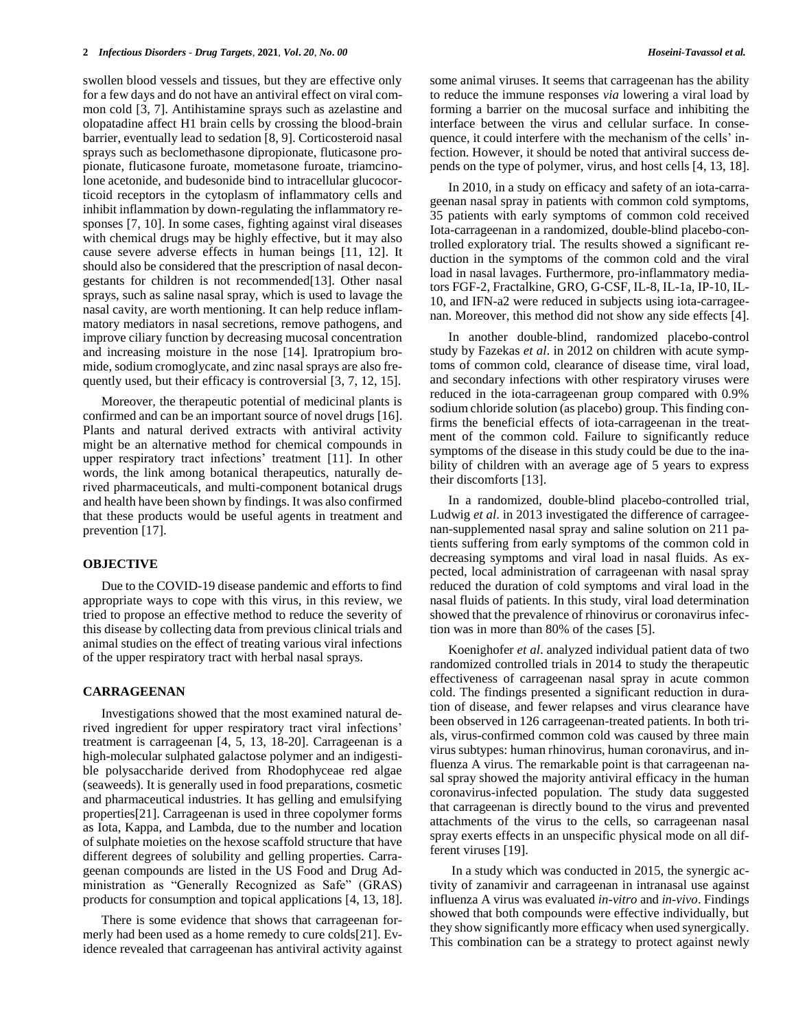swollen blood vessels and tissues, but they are effective only for a few days and do not have an antiviral effect on viral common cold [3, 7]. Antihistamine sprays such as azelastine and olopatadine affect H1 brain cells by crossing the blood-brain barrier, eventually lead to sedation [8, 9]. Corticosteroid nasal sprays such as beclomethasone dipropionate, fluticasone propionate, fluticasone furoate, mometasone furoate, triamcinolone acetonide, and budesonide bind to intracellular glucocorticoid receptors in the cytoplasm of inflammatory cells and inhibit inflammation by down-regulating the inflammatory responses [7, 10]. In some cases, fighting against viral diseases with chemical drugs may be highly effective, but it may also cause severe adverse effects in human beings [11, 12]. It should also be considered that the prescription of nasal decongestants for children is not recommended[13]. Other nasal sprays, such as saline nasal spray, which is used to lavage the nasal cavity, are worth mentioning. It can help reduce inflammatory mediators in nasal secretions, remove pathogens, and improve ciliary function by decreasing mucosal concentration and increasing moisture in the nose [14]. Ipratropium bromide, sodium cromoglycate, and zinc nasal sprays are also frequently used, but their efficacy is controversial [3, 7, 12, 15].

Moreover, the therapeutic potential of medicinal plants is confirmed and can be an important source of novel drugs [16]. Plants and natural derived extracts with antiviral activity might be an alternative method for chemical compounds in upper respiratory tract infections' treatment [11]. In other words, the link among botanical therapeutics, naturally derived pharmaceuticals, and multi-component botanical drugs and health have been shown by findings. It was also confirmed that these products would be useful agents in treatment and prevention [17].

#### **OBJECTIVE**

Due to the COVID-19 disease pandemic and efforts to find appropriate ways to cope with this virus, in this review, we tried to propose an effective method to reduce the severity of this disease by collecting data from previous clinical trials and animal studies on the effect of treating various viral infections of the upper respiratory tract with herbal nasal sprays.

#### **CARRAGEENAN**

Investigations showed that the most examined natural derived ingredient for upper respiratory tract viral infections' treatment is carrageenan [4, 5, 13, 18-20]. Carrageenan is a high-molecular sulphated galactose polymer and an indigestible polysaccharide derived from Rhodophyceae red algae (seaweeds). It is generally used in food preparations, cosmetic and pharmaceutical industries. It has gelling and emulsifying properties[21]. Carrageenan is used in three copolymer forms as Iota, Kappa, and Lambda, due to the number and location of sulphate moieties on the hexose scaffold structure that have different degrees of solubility and gelling properties. Carrageenan compounds are listed in the US Food and Drug Administration as "Generally Recognized as Safe" (GRAS) products for consumption and topical applications [4, 13, 18].

There is some evidence that shows that carrageenan formerly had been used as a home remedy to cure colds[21]. Evidence revealed that carrageenan has antiviral activity against some animal viruses. It seems that carrageenan has the ability to reduce the immune responses *via* lowering a viral load by forming a barrier on the mucosal surface and inhibiting the interface between the virus and cellular surface. In consequence, it could interfere with the mechanism of the cells' infection. However, it should be noted that antiviral success depends on the type of polymer, virus, and host cells [4, 13, 18].

In 2010, in a study on efficacy and safety of an iota-carrageenan nasal spray in patients with common cold symptoms, 35 patients with early symptoms of common cold received Iota-carrageenan in a randomized, double-blind placebo-controlled exploratory trial. The results showed a significant reduction in the symptoms of the common cold and the viral load in nasal lavages. Furthermore, pro-inflammatory mediators FGF-2, Fractalkine, GRO, G-CSF, IL-8, IL-1a, IP-10, IL-10, and IFN-a2 were reduced in subjects using iota-carrageenan. Moreover, this method did not show any side effects [4].

In another double-blind, randomized placebo-control study by Fazekas *et al*. in 2012 on children with acute symptoms of common cold, clearance of disease time, viral load, and secondary infections with other respiratory viruses were reduced in the iota-carrageenan group compared with 0.9% sodium chloride solution (as placebo) group. This finding confirms the beneficial effects of iota-carrageenan in the treatment of the common cold. Failure to significantly reduce symptoms of the disease in this study could be due to the inability of children with an average age of 5 years to express their discomforts [13].

In a randomized, double-blind placebo-controlled trial, Ludwig *et al*. in 2013 investigated the difference of carrageenan-supplemented nasal spray and saline solution on 211 patients suffering from early symptoms of the common cold in decreasing symptoms and viral load in nasal fluids. As expected, local administration of carrageenan with nasal spray reduced the duration of cold symptoms and viral load in the nasal fluids of patients. In this study, viral load determination showed that the prevalence of rhinovirus or coronavirus infection was in more than 80% of the cases [5].

Koenighofer *et al*. analyzed individual patient data of two randomized controlled trials in 2014 to study the therapeutic effectiveness of carrageenan nasal spray in acute common cold. The findings presented a significant reduction in duration of disease, and fewer relapses and virus clearance have been observed in 126 carrageenan-treated patients. In both trials, virus-confirmed common cold was caused by three main virus subtypes: human rhinovirus, human coronavirus, and influenza A virus. The remarkable point is that carrageenan nasal spray showed the majority antiviral efficacy in the human coronavirus-infected population. The study data suggested that carrageenan is directly bound to the virus and prevented attachments of the virus to the cells, so carrageenan nasal spray exerts effects in an unspecific physical mode on all different viruses [19].

In a study which was conducted in 2015, the synergic activity of zanamivir and carrageenan in intranasal use against influenza A virus was evaluated *in-vitro* and *in-vivo*. Findings showed that both compounds were effective individually, but they show significantly more efficacy when used synergically. This combination can be a strategy to protect against newly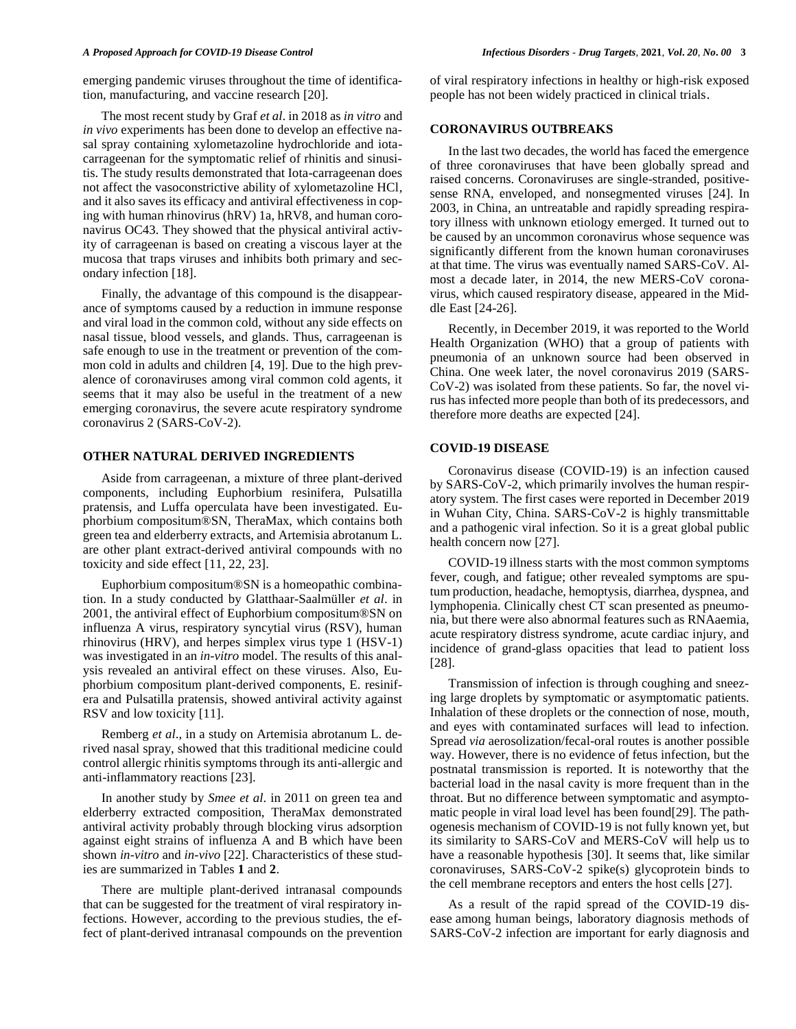emerging pandemic viruses throughout the time of identification, manufacturing, and vaccine research [20].

The most recent study by Graf *et al*. in 2018 as *in vitro* and *in vivo* experiments has been done to develop an effective nasal spray containing xylometazoline hydrochloride and iotacarrageenan for the symptomatic relief of rhinitis and sinusitis. The study results demonstrated that Iota-carrageenan does not affect the vasoconstrictive ability of xylometazoline HCl, and it also saves its efficacy and antiviral effectiveness in coping with human rhinovirus (hRV) 1a, hRV8, and human coronavirus OC43. They showed that the physical antiviral activity of carrageenan is based on creating a viscous layer at the mucosa that traps viruses and inhibits both primary and secondary infection [18].

Finally, the advantage of this compound is the disappearance of symptoms caused by a reduction in immune response and viral load in the common cold, without any side effects on nasal tissue, blood vessels, and glands. Thus, carrageenan is safe enough to use in the treatment or prevention of the common cold in adults and children [4, 19]. Due to the high prevalence of coronaviruses among viral common cold agents, it seems that it may also be useful in the treatment of a new emerging coronavirus, the severe acute respiratory syndrome coronavirus 2 (SARS-CoV-2).

## **OTHER NATURAL DERIVED INGREDIENTS**

Aside from carrageenan, a mixture of three plant-derived components, including Euphorbium resinifera, Pulsatilla pratensis, and Luffa operculata have been investigated. Euphorbium compositum®SN, TheraMax, which contains both green tea and elderberry extracts, and Artemisia abrotanum L. are other plant extract-derived antiviral compounds with no toxicity and side effect [11, 22, 23].

Euphorbium compositum®SN is a homeopathic combination. In a study conducted by Glatthaar-Saalmüller *et al*. in 2001, the antiviral effect of Euphorbium compositum®SN on influenza A virus, respiratory syncytial virus (RSV), human rhinovirus (HRV), and herpes simplex virus type 1 (HSV-1) was investigated in an *in-vitro* model. The results of this analysis revealed an antiviral effect on these viruses. Also, Euphorbium compositum plant-derived components, E. resinifera and Pulsatilla pratensis, showed antiviral activity against RSV and low toxicity [11].

Remberg *et al*., in a study on Artemisia abrotanum L. derived nasal spray, showed that this traditional medicine could control allergic rhinitis symptoms through its anti-allergic and anti-inflammatory reactions [23].

In another study by *Smee et al*. in 2011 on green tea and elderberry extracted composition, TheraMax demonstrated antiviral activity probably through blocking virus adsorption against eight strains of influenza A and B which have been shown *in-vitro* and *in-vivo* [22]. Characteristics of these studies are summarized in Tables **1** and **2**.

There are multiple plant-derived intranasal compounds that can be suggested for the treatment of viral respiratory infections. However, according to the previous studies, the effect of plant-derived intranasal compounds on the prevention of viral respiratory infections in healthy or high-risk exposed people has not been widely practiced in clinical trials.

# **CORONAVIRUS OUTBREAKS**

In the last two decades, the world has faced the emergence of three coronaviruses that have been globally spread and raised concerns. Coronaviruses are single-stranded, positivesense RNA, enveloped, and nonsegmented viruses [24]. In 2003, in China, an untreatable and rapidly spreading respiratory illness with unknown etiology emerged. It turned out to be caused by an uncommon coronavirus whose sequence was significantly different from the known human coronaviruses at that time. The virus was eventually named SARS-CoV. Almost a decade later, in 2014, the new MERS-CoV coronavirus, which caused respiratory disease, appeared in the Middle East [24-26].

Recently, in December 2019, it was reported to the World Health Organization (WHO) that a group of patients with pneumonia of an unknown source had been observed in China. One week later, the novel coronavirus 2019 (SARS-CoV-2) was isolated from these patients. So far, the novel virus has infected more people than both of its predecessors, and therefore more deaths are expected [24].

### **COVID-19 DISEASE**

Coronavirus disease (COVID-19) is an infection caused by SARS-CoV-2, which primarily involves the human respiratory system. The first cases were reported in December 2019 in Wuhan City, China. SARS-CoV-2 is highly transmittable and a pathogenic viral infection. So it is a great global public health concern now [27].

COVID-19 illness starts with the most common symptoms fever, cough, and fatigue; other revealed symptoms are sputum production, headache, hemoptysis, diarrhea, dyspnea, and lymphopenia. Clinically chest CT scan presented as pneumonia, but there were also abnormal features such as RNAaemia, acute respiratory distress syndrome, acute cardiac injury, and incidence of grand-glass opacities that lead to patient loss [28].

Transmission of infection is through coughing and sneezing large droplets by symptomatic or asymptomatic patients. Inhalation of these droplets or the connection of nose, mouth, and eyes with contaminated surfaces will lead to infection. Spread *via* aerosolization/fecal-oral routes is another possible way. However, there is no evidence of fetus infection, but the postnatal transmission is reported. It is noteworthy that the bacterial load in the nasal cavity is more frequent than in the throat. But no difference between symptomatic and asymptomatic people in viral load level has been found[29]. The pathogenesis mechanism of COVID-19 is not fully known yet, but its similarity to SARS-CoV and MERS-CoV will help us to have a reasonable hypothesis [30]. It seems that, like similar coronaviruses, SARS-CoV-2 spike(s) glycoprotein binds to the cell membrane receptors and enters the host cells [27].

As a result of the rapid spread of the COVID-19 disease among human beings, laboratory diagnosis methods of SARS-CoV-2 infection are important for early diagnosis and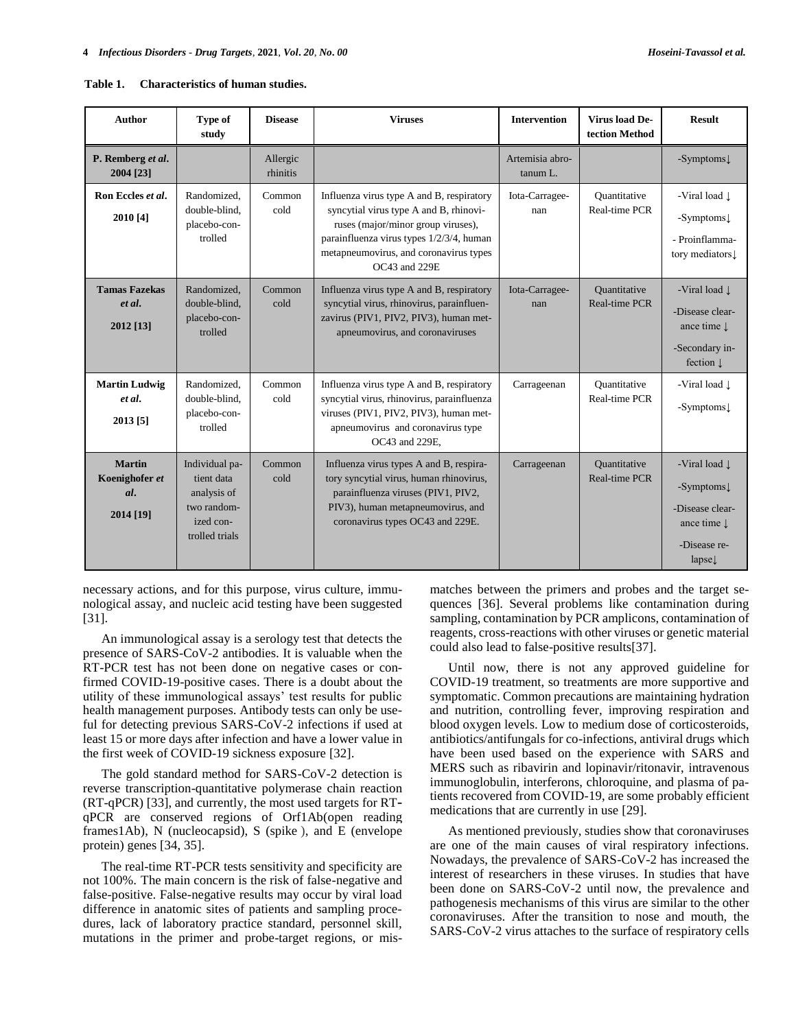| <b>Author</b>                                       | Type of<br>study                                                                          | <b>Disease</b>       | <b>Viruses</b><br><b>Intervention</b>                                                                                                                                                                                            |                             | Virus load De-<br>tection Method            | <b>Result</b>                                                                                                                            |
|-----------------------------------------------------|-------------------------------------------------------------------------------------------|----------------------|----------------------------------------------------------------------------------------------------------------------------------------------------------------------------------------------------------------------------------|-----------------------------|---------------------------------------------|------------------------------------------------------------------------------------------------------------------------------------------|
| P. Remberg et al.<br>2004 [23]                      |                                                                                           | Allergic<br>rhinitis |                                                                                                                                                                                                                                  | Artemisia abro-<br>tanum L. |                                             | $-Symptoms$                                                                                                                              |
| Ron Eccles et al.<br>2010 [4]                       | Randomized.<br>double-blind.<br>placebo-con-<br>trolled                                   | Common<br>cold       | Influenza virus type A and B, respiratory<br>syncytial virus type A and B, rhinovi-<br>ruses (major/minor group viruses),<br>parainfluenza virus types 1/2/3/4, human<br>metapneumovirus, and coronavirus types<br>OC43 and 229E | Iota-Carragee-<br>nan       | Ouantitative<br>Real-time PCR               | -Viral load $\downarrow$<br>$-Symptoms\downarrow$<br>- Proinflamma-<br>tory mediators                                                    |
| <b>Tamas Fazekas</b><br>et al.<br>2012 [13]         | Randomized,<br>double-blind.<br>placebo-con-<br>trolled                                   | Common<br>cold       | Influenza virus type A and B, respiratory<br>syncytial virus, rhinovirus, parainfluen-<br>zavirus (PIV1, PIV2, PIV3), human met-<br>apneumovirus, and coronaviruses                                                              | Iota-Carragee-<br>nan       | <b>Ouantitative</b><br><b>Real-time PCR</b> | -Viral load $\downarrow$<br>-Disease clear-<br>ance time $\downarrow$<br>-Secondary in-<br>fection $\downarrow$                          |
| <b>Martin Ludwig</b><br>et al.<br>2013 [5]          | Randomized.<br>double-blind.<br>placebo-con-<br>trolled                                   | Common<br>cold       | Influenza virus type A and B, respiratory<br>syncytial virus, rhinovirus, parainfluenza<br>viruses (PIV1, PIV2, PIV3), human met-<br>apneumovirus and coronavirus type<br>OC43 and 229E,                                         | Carrageenan                 | Ouantitative<br>Real-time PCR               | -Viral load $\downarrow$<br>-Symptoms $\downarrow$                                                                                       |
| <b>Martin</b><br>Koenighofer et<br>al.<br>2014 [19] | Individual pa-<br>tient data<br>analysis of<br>two random-<br>ized con-<br>trolled trials | Common<br>cold       | Influenza virus types A and B, respira-<br>tory syncytial virus, human rhinovirus,<br>parainfluenza viruses (PIV1, PIV2,<br>PIV3), human metapneumovirus, and<br>coronavirus types OC43 and 229E.                                | Carrageenan                 | Ouantitative<br>Real-time PCR               | -Viral load $\downarrow$<br>-Symptoms $\downarrow$<br>-Disease clear-<br>ance time $\downarrow$<br>-Disease re-<br>$l$ apse $\downarrow$ |

| <b>Characteristics of human studies.</b><br>Table 1. |  |  |
|------------------------------------------------------|--|--|
|------------------------------------------------------|--|--|

necessary actions, and for this purpose, virus culture, immunological assay, and nucleic acid testing have been suggested [31].

An immunological assay is a serology test that detects the presence of SARS-CoV-2 antibodies. It is valuable when the RT-PCR test has not been done on negative cases or confirmed COVID-19-positive cases. There is a doubt about the utility of these immunological assays' test results for public health management purposes. Antibody tests can only be useful for detecting previous SARS-CoV-2 infections if used at least 15 or more days after infection and have a lower value in the first week of COVID-19 sickness exposure [32].

The gold standard method for SARS-CoV-2 detection is reverse transcription-quantitative polymerase chain reaction (RT-qPCR) [33], and currently, the most used targets for RTqPCR are conserved regions of Orf1Ab(open reading frames1Ab), N (nucleocapsid), S (spike ), and E (envelope protein) genes [34, 35].

The real-time RT-PCR tests sensitivity and specificity are not 100%. The main concern is the risk of false-negative and false-positive. False-negative results may occur by viral load difference in anatomic sites of patients and sampling procedures, lack of laboratory practice standard, personnel skill, mutations in the primer and probe-target regions, or mismatches between the primers and probes and the target sequences [36]. Several problems like contamination during sampling, contamination by PCR amplicons, contamination of reagents, cross-reactions with other viruses or genetic material could also lead to false-positive results[37].

Until now, there is not any approved guideline for COVID-19 treatment, so treatments are more supportive and symptomatic. Common precautions are maintaining hydration and nutrition, controlling fever, improving respiration and blood oxygen levels. Low to medium dose of corticosteroids, antibiotics/antifungals for co-infections, antiviral drugs which have been used based on the experience with SARS and MERS such as ribavirin and lopinavir/ritonavir, intravenous immunoglobulin, interferons, chloroquine, and plasma of patients recovered from COVID-19, are some probably efficient medications that are currently in use [29].

As mentioned previously, studies show that coronaviruses are one of the main causes of viral respiratory infections. Nowadays, the prevalence of SARS-CoV-2 has increased the interest of researchers in these viruses. In studies that have been done on SARS-CoV-2 until now, the prevalence and pathogenesis mechanisms of this virus are similar to the other coronaviruses. After the transition to nose and mouth, the SARS-CoV-2 virus attaches to the surface of respiratory cells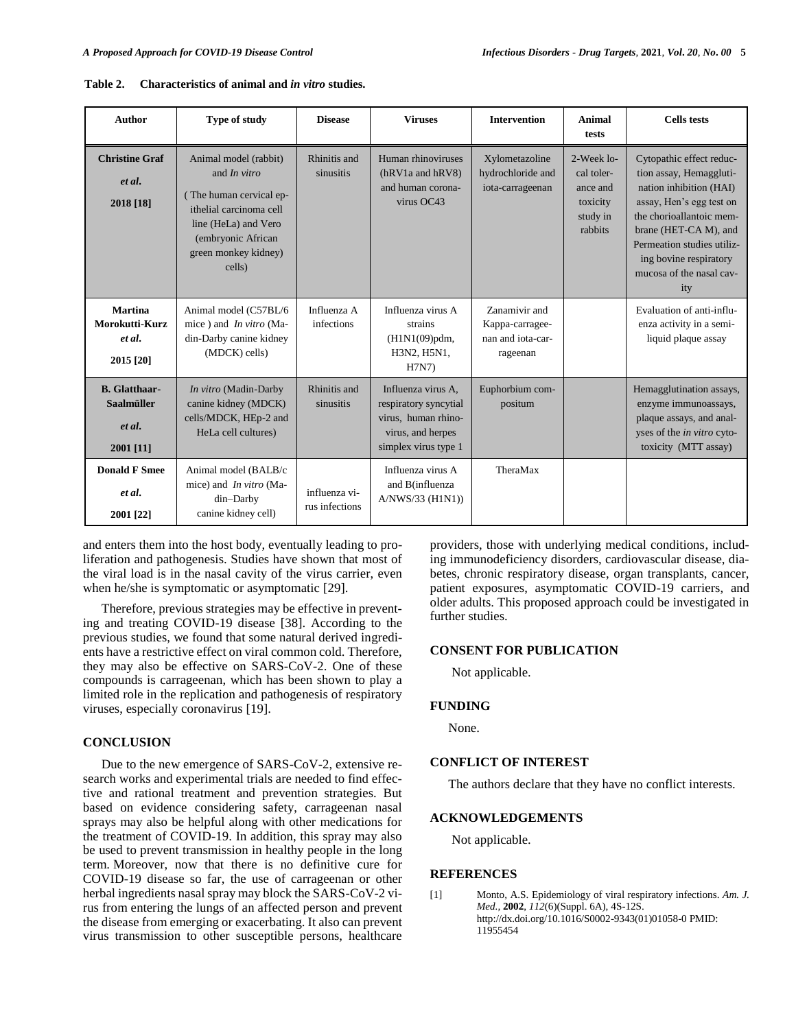| <b>Author</b>                                                    | Type of study                                                                                                                                                                      | <b>Disease</b>                  | <b>Viruses</b>                                                                                                  | <b>Intervention</b>                                               | Animal<br>tests                                                         | <b>Cells</b> tests                                                                                                                                                                                                                                         |
|------------------------------------------------------------------|------------------------------------------------------------------------------------------------------------------------------------------------------------------------------------|---------------------------------|-----------------------------------------------------------------------------------------------------------------|-------------------------------------------------------------------|-------------------------------------------------------------------------|------------------------------------------------------------------------------------------------------------------------------------------------------------------------------------------------------------------------------------------------------------|
| <b>Christine Graf</b><br>et al.<br>2018 [18]                     | Animal model (rabbit)<br>and <i>In vitro</i><br>(The human cervical ep-<br>ithelial carcinoma cell<br>line (HeLa) and Vero<br>(embryonic African<br>green monkey kidney)<br>cells) | Rhinitis and<br>sinusitis       | Human rhinoviruses<br>(hRV1a and hRV8)<br>and human corona-<br>virus OC43                                       | Xylometazoline<br>hydrochloride and<br>iota-carrageenan           | 2-Week lo-<br>cal toler-<br>ance and<br>toxicity<br>study in<br>rabbits | Cytopathic effect reduc-<br>tion assay, Hemaggluti-<br>nation inhibition (HAI)<br>assay, Hen's egg test on<br>the chorioallantoic mem-<br>brane (HET-CA M), and<br>Permeation studies utiliz-<br>ing bovine respiratory<br>mucosa of the nasal cav-<br>ity |
| <b>Martina</b><br>Morokutti-Kurz<br>et al.<br>2015 [20]          | Animal model (C57BL/6<br>mice) and <i>In vitro</i> (Ma-<br>din-Darby canine kidney<br>(MDCK) cells)                                                                                | Influenza A<br>infections       | Influenza virus A<br>strains<br>(H1N1(09)pdm,<br>H3N2, H5N1,<br>H7N7)                                           | Zanamivir and<br>Kappa-carragee-<br>nan and iota-car-<br>rageenan |                                                                         | Evaluation of anti-influ-<br>enza activity in a semi-<br>liquid plaque assay                                                                                                                                                                               |
| <b>B.</b> Glatthaar-<br><b>Saalmüller</b><br>et al.<br>2001 [11] | In vitro (Madin-Darby<br>canine kidney (MDCK)<br>cells/MDCK, HEp-2 and<br>HeLa cell cultures)                                                                                      | Rhinitis and<br>sinusitis       | Influenza virus A.<br>respiratory syncytial<br>virus, human rhino-<br>virus, and herpes<br>simplex virus type 1 | Euphorbium com-<br>positum                                        |                                                                         | Hemagglutination assays,<br>enzyme immunoassays,<br>plaque assays, and anal-<br>yses of the <i>in vitro</i> cyto-<br>toxicity (MTT assay)                                                                                                                  |
| <b>Donald F Smee</b><br>et al.<br>2001 [22]                      | Animal model (BALB/c<br>mice) and <i>In vitro</i> (Ma-<br>din-Darby<br>canine kidney cell)                                                                                         | influenza vi-<br>rus infections | Influenza virus A<br>and B(influenza<br>A/NWS/33 (H1N1))                                                        | TheraMax                                                          |                                                                         |                                                                                                                                                                                                                                                            |

**Table 2. Characteristics of animal and** *in vitro* **studies.**

and enters them into the host body, eventually leading to proliferation and pathogenesis. Studies have shown that most of the viral load is in the nasal cavity of the virus carrier, even when he/she is symptomatic or asymptomatic [29].

Therefore, previous strategies may be effective in preventing and treating COVID-19 disease [38]. According to the previous studies, we found that some natural derived ingredients have a restrictive effect on viral common cold. Therefore, they may also be effective on SARS-CoV-2. One of these compounds is carrageenan, which has been shown to play a limited role in the replication and pathogenesis of respiratory viruses, especially coronavirus [19].

## **CONCLUSION**

Due to the new emergence of SARS-CoV-2, extensive research works and experimental trials are needed to find effective and rational treatment and prevention strategies. But based on evidence considering safety, carrageenan nasal sprays may also be helpful along with other medications for the treatment of COVID-19. In addition, this spray may also be used to prevent transmission in healthy people in the long term. Moreover, now that there is no definitive cure for COVID-19 disease so far, the use of carrageenan or other herbal ingredients nasal spray may block the SARS-CoV-2 virus from entering the lungs of an affected person and prevent the disease from emerging or exacerbating. It also can prevent virus transmission to other susceptible persons, healthcare

providers, those with underlying medical conditions, including immunodeficiency disorders, cardiovascular disease, diabetes, chronic respiratory disease, organ transplants, cancer, patient exposures, asymptomatic COVID-19 carriers, and older adults. This proposed approach could be investigated in further studies.

## **CONSENT FOR PUBLICATION**

Not applicable.

#### **FUNDING**

None.

## **CONFLICT OF INTEREST**

The authors declare that they have no conflict interests.

### **ACKNOWLEDGEMENTS**

Not applicable.

#### **REFERENCES**

[1] Monto, A.S. [Epidemiology of viral respiratory infections.](http://dx.doi.org/10.1016/S0002-9343(01)01058-0) *Am. J. Med.,* **2002**, *112*(6)(Suppl. 6A), 4S-12S. [http://dx.doi.org/10.1016/S0002-9343\(01\)01058-0](http://dx.doi.org/10.1016/S0002-9343(01)01058-0) PMID: [11955454](http://www.ncbi.nlm.nih.gov/pubmed/11955454)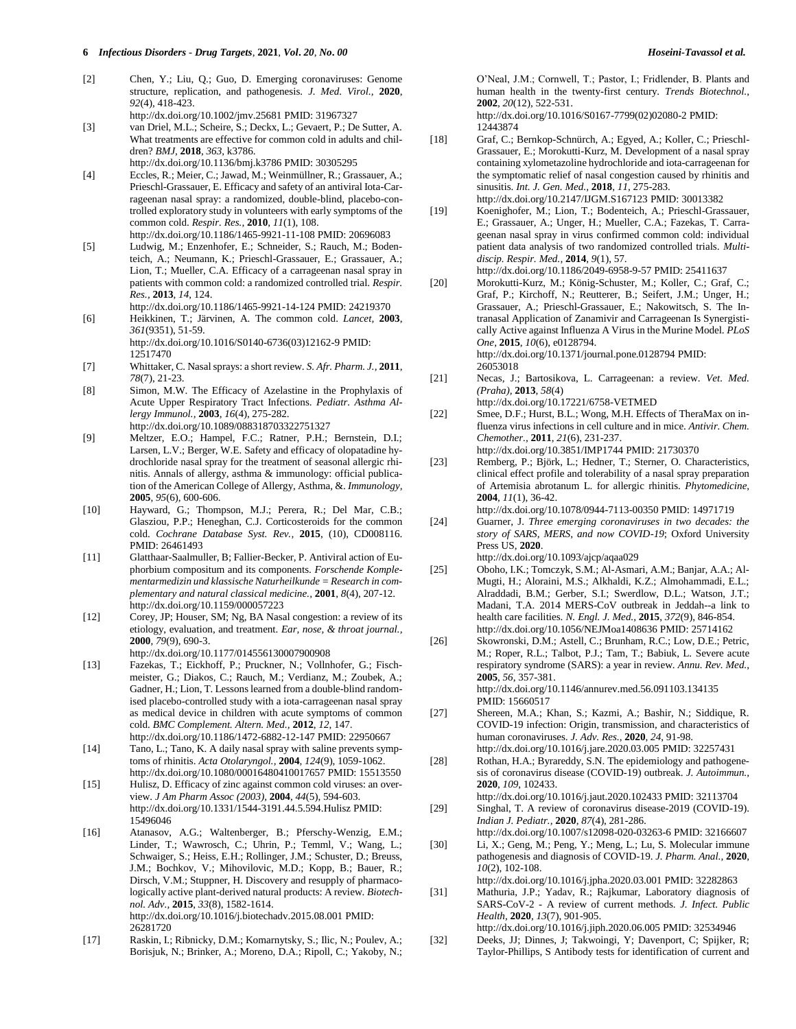- [2] Chen, Y.; Liu, Q.; Guo, D. [Emerging coronaviruses: Genome](http://dx.doi.org/10.1002/jmv.25681)  [structure, replication, and pathogenesis.](http://dx.doi.org/10.1002/jmv.25681) *J. Med. Virol.,* **2020**, *92*(4), 418-423. <http://dx.doi.org/10.1002/jmv.25681> PMID: [31967327](http://www.ncbi.nlm.nih.gov/pubmed/31967327)
- [3] van Driel, M.L.; Scheire, S.; Deckx, L.; Gevaert, P.; De Sutter, A. [What treatments are effective for common cold in adults and chil](http://dx.doi.org/10.1136/bmj.k3786)[dren?](http://dx.doi.org/10.1136/bmj.k3786) *BMJ,* **2018**, *363*, k3786. <http://dx.doi.org/10.1136/bmj.k3786> PMID: [30305295](http://www.ncbi.nlm.nih.gov/pubmed/30305295)
- [4] Eccles, R.; Meier, C.; Jawad, M.; Weinmüllner, R.; Grassauer, A.; Prieschl-Grassauer, E[. Efficacy and safety of an antiviral Iota-Car](http://dx.doi.org/10.1186/1465-9921-11-108)[rageenan nasal spray: a randomized, double-blind, placebo-con](http://dx.doi.org/10.1186/1465-9921-11-108)[trolled exploratory study in volunteers with early symptoms of the](http://dx.doi.org/10.1186/1465-9921-11-108)  [common cold.](http://dx.doi.org/10.1186/1465-9921-11-108) *Respir. Res.,* **2010**, *11*(1), 108.
- <http://dx.doi.org/10.1186/1465-9921-11-108> PMID[: 20696083](http://www.ncbi.nlm.nih.gov/pubmed/20696083) [5] Ludwig, M.; Enzenhofer, E.; Schneider, S.; Rauch, M.; Bodenteich, A.; Neumann, K.; Prieschl-Grassauer, E.; Grassauer, A.; Lion, T.; Mueller, C.A. [Efficacy of a carrageenan nasal spray in](http://dx.doi.org/10.1186/1465-9921-14-124)  [patients with common cold: a randomized controlled trial.](http://dx.doi.org/10.1186/1465-9921-14-124) *Respir. Res.,* **2013**, *14*, 124.
- <http://dx.doi.org/10.1186/1465-9921-14-124> PMID[: 24219370](http://www.ncbi.nlm.nih.gov/pubmed/24219370) [6] Heikkinen, T.; Järvinen, A. [The common cold.](http://dx.doi.org/10.1016/S0140-6736(03)12162-9) *Lancet,* **2003**, *361*(9351), 51-59. [http://dx.doi.org/10.1016/S0140-6736\(03\)12162-9](http://dx.doi.org/10.1016/S0140-6736(03)12162-9) PMID: [12517470](http://www.ncbi.nlm.nih.gov/pubmed/12517470)
- [7] Whittaker, C. Nasal sprays: a short review. *S. Afr. Pharm. J.,* **2011**, *78*(7), 21-23.
- [8] Simon, M.W. [The Efficacy of Azelastine in the Prophylaxis of](http://dx.doi.org/10.1089/088318703322751327)  [Acute Upper Respiratory Tract Infections.](http://dx.doi.org/10.1089/088318703322751327) *Pediatr. Asthma Allergy Immunol.,* **2003**, *16*(4), 275-282. <http://dx.doi.org/10.1089/088318703322751327>
- [9] Meltzer, E.O.; Hampel, F.C.; Ratner, P.H.; Bernstein, D.I.; Larsen, L.V.; Berger, W.E. Safety and efficacy of olopatadine hydrochloride nasal spray for the treatment of seasonal allergic rhinitis. Annals of allergy, asthma & immunology: official publication of the American College of Allergy, Asthma, &. *Immunology,*  **2005**, *95*(6), 600-606.
- [10] Hayward, G.; Thompson, M.J.; Perera, R.; Del Mar, C.B.; Glasziou, P.P.; Heneghan, C.J. Corticosteroids for the common cold. *Cochrane Database Syst. Rev.,* **2015**, (10), CD008116. PMID[: 26461493](http://www.ncbi.nlm.nih.gov/pubmed/26461493)
- [11] Glatthaar-Saalmuller, B; Fallier-Becker, P[. Antiviral action of Eu](http://dx.doi.org/10.1159/000057223)[phorbium compositum and its components.](http://dx.doi.org/10.1159/000057223) *Forschende Komplementarmedizin und klassische Naturheilkunde = Research in complementary and natural classical medicine.,* **2001**, *8*(4), 207-12. <http://dx.doi.org/10.1159/000057223>
- [12] Corey, JP; Houser, SM; Ng, B[A Nasal congestion: a review of its](http://dx.doi.org/10.1177/014556130007900908)  [etiology, evaluation, and treatment.](http://dx.doi.org/10.1177/014556130007900908) *Ear, nose, & throat journal.,*  **2000**, *79*(9), 690-3.
- <http://dx.doi.org/10.1177/014556130007900908> [13] Fazekas, T.; Eickhoff, P.; Pruckner, N.; Vollnhofer, G.; Fisch-
- meister, G.; Diakos, C.; Rauch, M.; Verdianz, M.; Zoubek, A.; Gadner, H.; Lion, T[. Lessons learned from a double-blind random](http://dx.doi.org/10.1186/1472-6882-12-147)[ised placebo-controlled study with a iota-carrageenan nasal spray](http://dx.doi.org/10.1186/1472-6882-12-147)  [as medical device in children with acute symptoms of common](http://dx.doi.org/10.1186/1472-6882-12-147)  [cold.](http://dx.doi.org/10.1186/1472-6882-12-147) *BMC Complement. Altern. Med.,* **2012**, *12*, 147. <http://dx.doi.org/10.1186/1472-6882-12-147> PMID[: 22950667](http://www.ncbi.nlm.nih.gov/pubmed/22950667)
- [14] Tano, L.; Tano, K[. A daily nasal spray with saline prevents symp](http://dx.doi.org/10.1080/00016480410017657)[toms of rhinitis.](http://dx.doi.org/10.1080/00016480410017657) *Acta Otolaryngol.,* **2004**, *124*(9), 1059-1062. <http://dx.doi.org/10.1080/00016480410017657> PMID[: 15513550](http://www.ncbi.nlm.nih.gov/pubmed/15513550)
- [15] Hulisz, D[. Efficacy of zinc against common cold viruses: an over](http://dx.doi.org/10.1331/1544-3191.44.5.594.Hulisz)[view.](http://dx.doi.org/10.1331/1544-3191.44.5.594.Hulisz) *J Am Pharm Assoc (2003),* **2004**, *44*(5), 594-603. <http://dx.doi.org/10.1331/1544-3191.44.5.594.Hulisz> PMID: [15496046](http://www.ncbi.nlm.nih.gov/pubmed/15496046)
- [16] Atanasov, A.G.; Waltenberger, B.; Pferschy-Wenzig, E.M.; Linder, T.; Wawrosch, C.; Uhrin, P.; Temml, V.; Wang, L.; Schwaiger, S.; Heiss, E.H.; Rollinger, J.M.; Schuster, D.; Breuss, J.M.; Bochkov, V.; Mihovilovic, M.D.; Kopp, B.; Bauer, R.; Dirsch, V.M.; Stuppner, H. [Discovery and resupply of pharmaco](http://dx.doi.org/10.1016/j.biotechadv.2015.08.001)[logically active plant-derived natural products: A review.](http://dx.doi.org/10.1016/j.biotechadv.2015.08.001) *Biotechnol. Adv.,* **2015**, *33*(8), 1582-1614. <http://dx.doi.org/10.1016/j.biotechadv.2015.08.001> PMID: [26281720](http://www.ncbi.nlm.nih.gov/pubmed/26281720)
- [17] Raskin, I.; Ribnicky, D.M.; Komarnytsky, S.; Ilic, N.; Poulev, A.; Borisjuk, N.; Brinker, A.; Moreno, D.A.; Ripoll, C.; Yakoby, N.;

O'Neal, J.M.; Cornwell, T.; Pastor, I.; Fridlender, B. [Plants and](http://dx.doi.org/10.1016/S0167-7799(02)02080-2)  [human health in the twenty-first century.](http://dx.doi.org/10.1016/S0167-7799(02)02080-2) *Trends Biotechnol.,*  **2002**, *20*(12), 522-531.

[http://dx.doi.org/10.1016/S0167-7799\(02\)02080-2](http://dx.doi.org/10.1016/S0167-7799(02)02080-2) PMID: [12443874](http://www.ncbi.nlm.nih.gov/pubmed/12443874)

- [18] Graf, C.; Bernkop-Schnürch, A.; Egyed, A.; Koller, C.; Prieschl-Grassauer, E.; Morokutti-Kurz, M. [Development of a nasal spray](http://dx.doi.org/10.2147/IJGM.S167123)  [containing xylometazoline hydrochloride and iota-carrageenan for](http://dx.doi.org/10.2147/IJGM.S167123)  [the symptomatic relief of nasal congestion caused by rhinitis and](http://dx.doi.org/10.2147/IJGM.S167123)  [sinusitis.](http://dx.doi.org/10.2147/IJGM.S167123) *Int. J. Gen. Med.,* **2018**, *11*, 275-283. <http://dx.doi.org/10.2147/IJGM.S167123> PMID[: 30013382](http://www.ncbi.nlm.nih.gov/pubmed/30013382)
- [19] Koenighofer, M.; Lion, T.; Bodenteich, A.; Prieschl-Grassauer, E.; Grassauer, A.; Unger, H.; Mueller, C.A.; Fazekas, T. [Carra](http://dx.doi.org/10.1186/2049-6958-9-57)[geenan nasal spray in virus confirmed common cold: individual](http://dx.doi.org/10.1186/2049-6958-9-57)  [patient data analysis of two randomized controlled trials.](http://dx.doi.org/10.1186/2049-6958-9-57) *Multidiscip. Respir. Med.,* **2014**, *9*(1), 57.

<http://dx.doi.org/10.1186/2049-6958-9-57> PMID[: 25411637](http://www.ncbi.nlm.nih.gov/pubmed/25411637)

[20] Morokutti-Kurz, M.; König-Schuster, M.; Koller, C.; Graf, C.; Graf, P.; Kirchoff, N.; Reutterer, B.; Seifert, J.M.; Unger, H.; Grassauer, A.; Prieschl-Grassauer, E.; Nakowitsch, S. [The In](http://dx.doi.org/10.1371/journal.pone.0128794)[tranasal Application of Zanamivir and Carrageenan Is Synergisti](http://dx.doi.org/10.1371/journal.pone.0128794)[cally Active against Influenza A Virus in the Murine Model.](http://dx.doi.org/10.1371/journal.pone.0128794) *PLoS One,* **2015**, *10*(6), e0128794. <http://dx.doi.org/10.1371/journal.pone.0128794> PMID:

[26053018](http://www.ncbi.nlm.nih.gov/pubmed/26053018)

- [21] Necas, J.; Bartosikova, L. [Carrageenan: a review.](http://dx.doi.org/10.17221/6758-VETMED) *Vet. Med. (Praha),* **2013**, *58*(4)
	- <http://dx.doi.org/10.17221/6758-VETMED>
- [22] Smee, D.F.; Hurst, B.L.; Wong, M.H[. Effects of TheraMax on in](http://dx.doi.org/10.3851/IMP1744)[fluenza virus infections in cell culture and in mice.](http://dx.doi.org/10.3851/IMP1744) *Antivir. Chem. Chemother.,* **2011**, *21*(6), 231-237. <http://dx.doi.org/10.3851/IMP1744> PMID: [21730370](http://www.ncbi.nlm.nih.gov/pubmed/21730370)
- [23] Remberg, P.; Björk, L.; Hedner, T.; Sterner, O. Characteristics, [clinical effect profile and tolerability of a nasal spray preparation](http://dx.doi.org/10.1078/0944-7113-00350)  [of Artemisia abrotanum L. for allergic rhinitis.](http://dx.doi.org/10.1078/0944-7113-00350) *Phytomedicine,*  **2004**, *11*(1), 36-42.

<http://dx.doi.org/10.1078/0944-7113-00350> PMID: [14971719](http://www.ncbi.nlm.nih.gov/pubmed/14971719)

- [24] Guarner, J. *Three emerging coronaviruses in two decades: the story of SARS, MERS, and now COVID-19*; Oxford University Press US, **2020**. <http://dx.doi.org/10.1093/ajcp/aqaa029>
- [25] Oboho, I.K.; Tomczyk, S.M.; Al-Asmari, A.M.; Banjar, A.A.; Al-Mugti, H.; Aloraini, M.S.; Alkhaldi, K.Z.; Almohammadi, E.L.; Alraddadi, B.M.; Gerber, S.I.; Swerdlow, D.L.; Watson, J.T.; Madani, T.A. [2014 MERS-CoV outbreak in Jeddah--a link to](http://dx.doi.org/10.1056/NEJMoa1408636)  [health care facilities.](http://dx.doi.org/10.1056/NEJMoa1408636) *N. Engl. J. Med.,* **2015**, *372*(9), 846-854. <http://dx.doi.org/10.1056/NEJMoa1408636> PMID[: 25714162](http://www.ncbi.nlm.nih.gov/pubmed/25714162)
- [26] Skowronski, D.M.; Astell, C.; Brunham, R.C.; Low, D.E.; Petric, M.; Roper, R.L.; Talbot, P.J.; Tam, T.; Babiuk, L. [Severe acute](http://dx.doi.org/10.1146/annurev.med.56.091103.134135)  [respiratory syndrome \(SARS\): a year in review.](http://dx.doi.org/10.1146/annurev.med.56.091103.134135) *Annu. Rev. Med.,*  **2005**, *56*, 357-381. <http://dx.doi.org/10.1146/annurev.med.56.091103.134135> PMID[: 15660517](http://www.ncbi.nlm.nih.gov/pubmed/15660517)
- [27] Shereen, M.A.; Khan, S.; Kazmi, A.; Bashir, N.; Siddique, R. [COVID-19 infection: Origin, transmission, and characteristics of](http://dx.doi.org/10.1016/j.jare.2020.03.005)  [human coronaviruses.](http://dx.doi.org/10.1016/j.jare.2020.03.005) *J. Adv. Res.,* **2020**, *24*, 91-98. <http://dx.doi.org/10.1016/j.jare.2020.03.005> PMID[: 32257431](http://www.ncbi.nlm.nih.gov/pubmed/32257431)
- [28] Rothan, H.A.; Byrareddy, S.N[. The epidemiology and pathogene](http://dx.doi.org/10.1016/j.jaut.2020.102433)[sis of coronavirus disease \(COVID-19\) outbreak.](http://dx.doi.org/10.1016/j.jaut.2020.102433) *J. Autoimmun.,*  **2020**, *109*, 102433.
- <http://dx.doi.org/10.1016/j.jaut.2020.102433> PMID[: 32113704](http://www.ncbi.nlm.nih.gov/pubmed/32113704) [29] Singhal, T. A review of [coronavirus disease-2019 \(COVID-19\).](http://dx.doi.org/10.1007/s12098-020-03263-6)  *Indian J. Pediatr.,* **2020**, *87*(4), 281-286.

<http://dx.doi.org/10.1007/s12098-020-03263-6> PMID[: 32166607](http://www.ncbi.nlm.nih.gov/pubmed/32166607)

- [30] Li, X.; Geng, M.; Peng, Y.; Meng, L.; Lu, S. [Molecular immune](http://dx.doi.org/10.1016/j.jpha.2020.03.001)  [pathogenesis and diagnosis of COVID-19.](http://dx.doi.org/10.1016/j.jpha.2020.03.001) *J. Pharm. Anal.,* **2020**, *10*(2), 102-108.
	- <http://dx.doi.org/10.1016/j.jpha.2020.03.001> PMID[: 32282863](http://www.ncbi.nlm.nih.gov/pubmed/32282863)
- [31] Mathuria, J.P.; Yadav, R.; Rajkumar, [Laboratory diagnosis of](http://dx.doi.org/10.1016/j.jiph.2020.06.005)  SARS-CoV-2 - [A review of current methods.](http://dx.doi.org/10.1016/j.jiph.2020.06.005) *J. Infect. Public Health,* **2020**, *13*(7), 901-905.
- <http://dx.doi.org/10.1016/j.jiph.2020.06.005> PMID[: 32534946](http://www.ncbi.nlm.nih.gov/pubmed/32534946) [32] Deeks, JJ; Dinnes, J; Takwoingi, Y; Davenport, C; Spijker, R;
- Taylor-Phillips, S Antibody tests for identification of current and